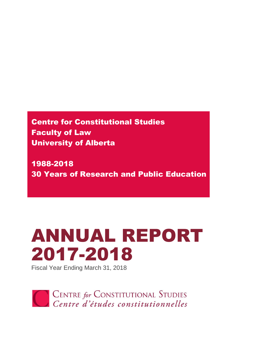Centre for Constitutional Studies Faculty of Law University of Alberta

1988-2018 30 Years of Research and Public Education

# ANNUAL REPORT 2017-2018

Fiscal Year Ending March 31, 2018

**CENTRE for CONSTITUTIONAL STUDIES** Centre d'études constitutionnelles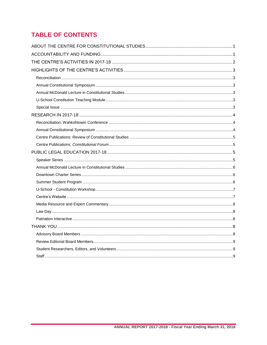# **TABLE OF CONTENTS**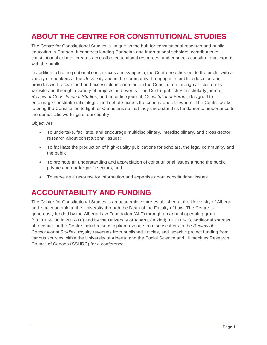# <span id="page-2-0"></span>**ABOUT THE CENTRE FOR CONSTITUTIONAL STUDIES**

The Centre for Constitutional Studies is unique as the hub for constitutional research and public education in Canada. It connects leading Canadian and international scholars, contributes to constitutional debate, creates accessible educational resources, and connects constitutional experts with the public.

In addition to hosting national conferences and symposia, the Centre reaches out to the public with a variety of speakers at the University and in the community. It engages in public education and provides well-researched and accessible information on the Constitution through articles on its website and through a variety of projects and events. The Centre publishes a scholarly journal, *Review of Constitutional Studies*, and an online journal, *Constitutional Forum*, designed to encourage constitutional dialogue and debate across the country and elsewhere. The Centre works to bring the Constitution to light for Canadians so that they understand its fundamental importance to the democratic workings of our country.

**Objectives** 

- To undertake, facilitate, and encourage multidisciplinary, interdisciplinary, and cross-sector research about constitutional issues;
- To facilitate the production of high-quality publications for scholars, the legal community, and the public;
- To promote an understanding and appreciation of constitutional issues among the public, private and *not*-for-profit sectors; and
- To serve as a resource for information and expertise about constitutional issues.

# <span id="page-2-1"></span>**ACCOUNTABILITY AND FUNDING**

The Centre for Constitutional Studies is an academic centre established at the University of Alberta and is accountable to the University through the Dean of the Faculty of Law. The Centre is generously funded by the Alberta Law Foundation (ALF) through an annual operating grant (\$338,114. 00 in 2017-18) and by the University of Alberta (in kind). In 2017-18, additional sources of revenue for the Centre included subscription revenue from subscribers to the *Review of Constitutional Studies,* royalty revenues from published articles, and specific project funding from various sources within the University of Alberta, and the Social Science and Humanities Research Council of Canada (SSHRC) for a conference.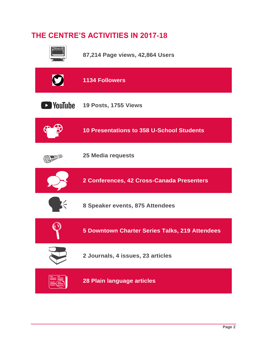# <span id="page-3-0"></span>**THE CENTRE'S ACTIVITIES IN 2017-18**



**87,214 Page views, 42,864 Users**

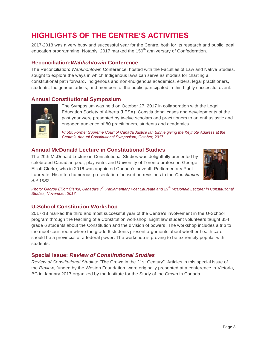# <span id="page-4-0"></span>**HIGHLIGHTS OF THE CENTRE'S ACTIVITIES**

2017-2018 was a very busy and successful year for the Centre, both for its research and public legal education programming. Notably, 2017 marked the  $150<sup>th</sup>$  anniversary of Confederation.

# <span id="page-4-1"></span>**Reconciliation:***Wahkohtowin* **Conference**

The Reconciliation: *Wahkhohtowin* Conference, hosted with the Faculties of Law and Native Studies, sought to explore the ways in which Indigenous laws can serve as models for charting a constitutional path forward. Indigenous and non-Indigenous academics, elders, legal practitioners, students, Indigenous artists, and members of the public participated in this highly successful event.

# **Annual Constitutional Symposium**



The Symposium was held on October 27, 2017 in collaboration with the Legal Education Society of Alberta (LESA). Constitutional cases and developments of the past year were presented by twelve scholars and practitioners to an enthusiastic and engaged audience of 80 practitioners, students and academics.

<span id="page-4-3"></span>*Photo: Former Supreme Court of Canada Justice Ian Binnie giving the Keynote Address at the Centre's Annual Constitutional Symposium, October, 2017.*

# **Annual McDonald Lecture in Constitutional Studies**

The 29th McDonald Lecture in Constitutional Studies was delightfully presented by celebrated Canadian poet, play write, and University of Toronto professor, George Elliott Clarke, who in 2016 was appointed Canada's seventh Parliamentary Poet Laureate. His often humorous presentation focused on revisions to the *Constitution Act 1982.*

<span id="page-4-2"></span>

*Photo: George Elliott Clarke, Canada's 7th Parliamentary Poet Laureate and 29th McDonald Lecturer in Constitutional Studies, November, 2017.*

# <span id="page-4-4"></span>**U-School Constitution Workshop**

2017-18 marked the third and most successful year of the Centre's involvement in the U-School program through the teaching of a Constitution workshop. Eight law student volunteers taught 354 grade 6 students about the Constitution and the division of powers. The workshop includes a trip to the moot court room where the grade 6 students present arguments about whether health care should be a provincial or a federal power. The workshop is proving to be extremely popular with students.

## <span id="page-4-5"></span>**Special Issue:** *Review of Constitutional Studies*

*Review of Constitutional Studies*: "The Crown in the 21st Century". Articles in this special issue of the *Review*, funded by the Weston Foundation, were originally presented at a conference in Victoria, BC in January 2017 organized by the Institute for the Study of the Crown in Canada.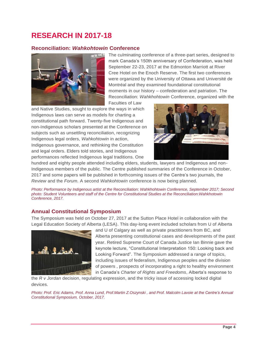# <span id="page-5-0"></span>**RESEARCH IN 2017-18**

### <span id="page-5-1"></span>**Reconciliation:** *Wahkohtowin* **Conference**



The culminating conference of a three-part series, designed to mark Canada's 150th anniversary of Confederation, was held September 22-23, 2017 at the Edmonton Marriott at River Cree Hotel on the Enoch Reserve. The first two conferences were organized by the University of Ottawa and Université de Montréal and they examined foundational constitutional moments in our history – confederation and patriation. The Reconciliation: *Wahkhohtowin* Conference, organized with the

Faculties of Law

and Native Studies, sought to explore the ways in which Indigenous laws can serve as models for charting a constitutional path forward. Twenty-five Indigenous and non-Indigenous scholars presented at the Conference on subjects such as unsettling reconciliation, recognizing Indigenous legal orders, *Wahkohtowin* in action, Indigenous governance, and rethinking the Constitution and legal orders. Elders told stories, and Indigenous performances reflected Indigenous legal traditions. One



hundred and eighty people attended including elders, students, lawyers and Indigenous and non-Indigenous members of the public. The Centre published summaries of the Conference in October, 2017 and some papers will be published in forthcoming issues of the Centre's two journals, the *Review* and the *Forum.* A second *Wahkohtowin* conference is now being planned.

*Photo: Performance by Indigenous artist at the* Reconciliation: *Wahkhohtowin Conference, September 2017; Second photo: Student Volunteers and staff of the Centre for Constitutional Studies at the* Reconciliation:*Wahkhotowin Conference, 2017.*

# <span id="page-5-2"></span>**Annual Constitutional Symposium**

The Symposium was held on October 27, 2017 at the Sutton Place Hotel in collaboration with the Legal Education Society of Alberta (LESA). This day-long event included scholars from U of Alberta



and U of Calgary as well as private practitioners from BC, and Alberta presenting constitutional cases and developments of the past year. Retired Supreme Court of Canada Justice Ian Binnie gave the keynote lecture, "Constitutional Interpretation 150: Looking back and Looking Forward". The Symposium addressed a range of topics, including issues of federalism, Indigenous peoples and the division of powers , prospects of incorporating a right to healthy environment in Canada's *Charter of Rights and Freedoms*, Alberta's response to

the *R v Jordan* decision, regulating expression, and the tricky issue of accessing locked digital devices.

<span id="page-5-3"></span>*Photo: Prof. Eric Adams, Prof. Anna Lund, Prof.Martin Z.Oszynski , and Prof. Malcolm Lavoie at the Centre's Annual Constitutional Symposium, October, 2017.*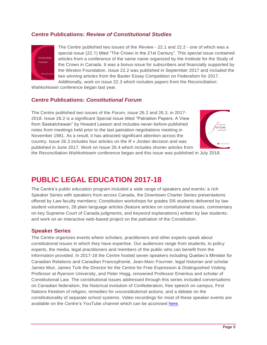## **Centre Publications:** *Review of Constitutional Studies*



<span id="page-6-0"></span>The Centre published two issues of the *Review* - 22.1 and 22.2 - one of which was a special issue (22.1) titled "The Crown in the 21st Century". This special issue contained articles from a conference of the same name organized by the Institute for the Study of the Crown in Canada. It was a bonus issue for subscribers and financially supported by the Weston Foundation. Issue 22.2 was published in September 2017 and included the two winning articles from the Baxter Essay Competition on Federalism for 2017. Additionally, work on issue 22.3 which includes papers from the Reconciliation:

*Wahkohtowin* conference began last year.

#### **Centre Publications:** *Constitutional Forum*

The Centre published two issues of the *Forum*, issue 26.2 and 26.3, in 2017- 2018. Issue 26.2 is a significant Special Issue titled "Patriation Papers: A View from Saskatchewan" by Howard Leeson and includes never-before-published notes from meetings held prior to the last patriation negotiations meeting in November 1981. As a result, it has attracted significant attention across the country. Issue 26.3 includes four articles on the *R v Jordan* decision and was published in June 2017. Work on Issue 26.4 which includes shorter articles from

<span id="page-6-1"></span>

the Reconciliation:*Wahkohtowin* conference began and this issue was published in July 2018.

# **PUBLIC LEGAL EDUCATION 2017-18**

The Centre's public education program included a wide range of speakers and events: a rich Speaker Series with speakers from across Canada, the Downtown Charter Series presentations offered by Law faculty members; Constitution workshops for grades 5/6 students delivered by law student volunteers; 28 plain language articles (feature articles on constitutional issues, commentary on key Supreme Court of Canada judgments, and keyword explanations) written by law students; and work on an interactive web-based project on the patriation of the Constitution.

#### <span id="page-6-2"></span>**Speaker Series**

<span id="page-6-3"></span>The Centre organizes events where scholars, practitioners and other experts speak about constitutional issues in which they have expertise. Our audiences range from students, to policy experts, the media, legal practitioners and members of the public who can benefit from the information provided. In 2017-18 the Centre hosted seven speakers including Quebec's Minister for Canadian Relations and Canadian Francophonie, Jean-Marc Fournier, legal historian and scholar James Muir, James Turk the Director for the Centre for Free Expression & Distinguished Visiting Professor at Ryerson University, and Peter Hogg, renowned Professor Emeritus and scholar of Constitutional Law. The constitutional issues addressed through this series included conversations on Canadian federalism, the historical evolution of Confederation, free speech on campus, First Nations freedom of religion, remedies for unconstitutional actions, and a debate on the constitutionality of separate school systems. Video recordings for most of these speaker events are available on the Centre's YouTube channel which can be accessed [here.](https://www.youtube.com/channel/UCh4MQysaJQ9x1Hui_qEqiGQ/feed)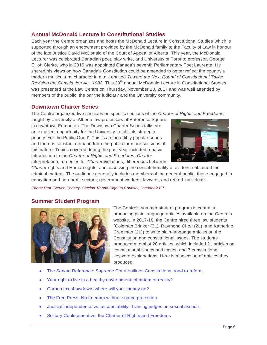## **Annual McDonald Lecture in Constitutional Studies**

Each year the Centre organizes and hosts the McDonald Lecture in Constitutional Studies which is supported through an endowment provided by the McDonald family to the Faculty of Law in honour of the late Justice David McDonald of the Court of Appeal of Alberta. This year, the McDonald Lecturer was celebrated Canadian poet, play write, and University of Toronto professor, George Elliott Clarke, who in 2016 was appointed Canada's seventh Parliamentary Poet Laureate. He shared his views on how Canada's Constitution could be amended to better reflect the country's modern multicultural character in a talk entitled *Toward the Next Round of Constitutional Talks: Revising the Constitution Act, 1982. This 29<sup>th</sup> annual McDonald Lecture in Constitutional Studies* was presented at the Law Centre on Thursday, November 23, 2017 and was well attended by members of the public, the bar the judiciary and the University community.

## <span id="page-7-0"></span>**Downtown Charter Series**

The Centre organized five sessions on specific sections of the *Charter of Rights and Freedoms,* 

taught by University of Alberta law professors at Enterprise Square in downtown Edmonton. The Downtown Charter Series talks are an excellent opportunity for the University to fulfill its strategic priority 'For the Public Good'. This is an incredibly popular series and there is constant demand from the public for more sessions of this nature. Topics covered during the past year included a basic introduction to the *Charter of Rights and Freedoms, Charter* interpretation, remedies for *Charter* violations, differences between



*Charter* rights and Human rights, and assessing the constitutionality of evidence obtained for criminal matters. The audience generally includes members of the general public, those engaged in education and non-profit sectors, government workers, lawyers, and retired individuals.

*Photo: Prof. Steven Penney Section 10 and Right to Counsel, January 2017.*

## <span id="page-7-1"></span>**Summer Student Program**



The Centre's summer student program is central to producing plain language articles available on the Centre's website. In 2017-18, the Centre hired three law students (Coleman Brinker (3L), Raymond Chen (2L), and Katherine Creelman (2L)) to write plain-language articles on the Constitution and constitutional issues. The students produced a total of 28 articles, which included 21 articles on constitutional issues and cases, and 7 constitutional keyword explanations. Here is a selection of articles they produced:

- [The Senate Reference: Supreme Court outlines Constitutional road to](https://ualawccsprod.srv.ualberta.ca/index.php/constitutional-issues/democratic-governance/1050-senate-reference-summary) reform
- [Your right to live in a healthy environment: phantom or reality?](https://ualawccsprod.srv.ualberta.ca/index.php/constitutional-issues/democratic-governance/1050-senate-reference-summary)
- [Carbon tax showdown: where will your money go?](https://ualawccsprod.srv.ualberta.ca/index.php/constitutional-issues/federalism/1042-carbon-tax-dop)
- [The Free Press: No freedom without source protection](https://ualawccsprod.srv.ualberta.ca/index.php/constitutional-issues/the-charter/fundamental-freedoms-section-2/1041-source-protection)
- [Judicial independence vs. accountability: Training judges on sexual assault](https://ualawccsprod.srv.ualberta.ca/index.php/constitutional-issues/democratic-governance/1038-judicial-independence-vs-accountability-training-judges-on-sexual-assault)
- Solitary Confinement vs. [the Charter of Rights and Freedoms](https://ualawccsprod.srv.ualberta.ca/index.php/constitutional-issues/the-charter/1037-solitary-confinement-vs-the-charter-of-rights-and-freedoms)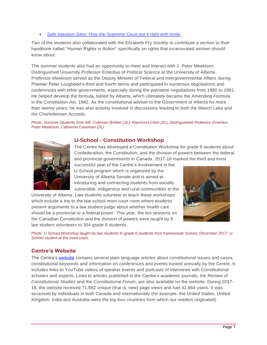#### [Safe Injection Sites: How the Supreme Court got it right with Insite](https://ualawccsprod.srv.ualberta.ca/index.php/constitutional-issues/the-charter/legal-rights-sections-7-14/1047-safe-injection-insite?highlight=WyJzYWZlIiwiJ3NhZmUiLCJpbmplY3Rpb24iLCJzaXRlIiwic2l0ZSdzIiwic2FmZSBpbmplY3Rpb24iLCJzYWZlIGluamVjdGlvbiBzaXRlIiwiaW5qZWN0aW9uIHNpdGUiXQ==)

Two of the students also collaborated with the Elizabeth Fry Society to contribute a section to their handbook called "Human Rights in Action" specifically on rights that incarcerated women should know about.

The summer students also had an opportunity to meet and interact with J. Peter Meekison, Distinguished University Professor Emeritus of Political Science at the University of Alberta. Professor Meekison served as the Deputy Minister of Federal and Intergovernmental Affairs during Premier Peter Lougheed's third and fourth terms and participated in numerous negotiations and conferences with other governments, especially during the patriation negotiations from 1980 to 1981. He helped develop the formula, tabled by Alberta, which ultimately became the Amending Formula in the Constitution Act, 1982. As the constitutional adviser to the Government of Alberta for more than twenty years, he was also actively involved in discussions leading to both the Meech Lake and the Charlottetown Accords.

*Photo: Summer Students from left, Coleman Brinker (3L), Raymond Chen (2L), Distinguished Professor Emeritus Peter Meekison, Catherine Creelman (2L)* 



## <span id="page-8-0"></span>**U-School - Constitution Workshop**

The Centre has developed a Constitution Workshop for grade 6 students about Confederation, the Constitution, and the division of powers between the federal and provincial governments in Canada. 2017-18 marked the third and most

successful year of the Centre's involvement in the U-School program which is organized by the University of Alberta Senate and is aimed at introducing and connecting students from socially vulnerable, Indigenous and rural communities to the

University of Alberta. Law students volunteer to teach these workshops which include a trip to the law school moot court room where students present arguments to a law student judge about whether health care should be a provincial or a federal power. This year, the ten sessions on the Canadian Constitution and the division of powers were taught by 8 law student volunteers to 354 grade 6 students.



*Photo: U School Workshop taught by law students to grade 6 students from Kameyosek School, December 2017; U-School student at the moot court.*

## <span id="page-8-1"></span>**Centre's Website**

<span id="page-8-2"></span>The Centre's [website](https://ualawccsprod.srv.ualberta.ca/index.php/constitutional-issues/the-charter/1037-solitary-confinement-vs-the-charter-of-rights-and-freedoms) contains several plain language articles about constitutional issues and cases, constitutional keywords and information on conferences and events hosted annually by the Centre. It includes links to YouTube videos of speaker events and podcasts of interviews with Constitutional scholars and experts. Links to articles published in the Centre's academic journals, the *Review of Constitutional Studies* and the *Constitutional Forum*, are also available on the website. During 2017- 18, the website received 71,882 unique (that is, new) page views and had 42,864 users. It was accessed by individuals in both Canada and internationally (for example, the United States, United Kingdom, India and Australia were the top four countries from which our readers originated).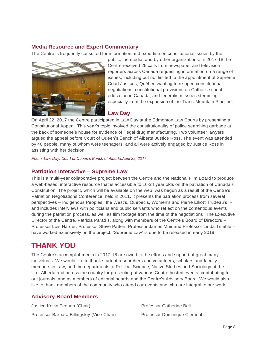#### **Media Resource and Expert Commentary**

The Centre is frequently consulted for information and expertise on constitutional issues by the



public, the media, and by other organizations. In 2017-18 the Centre received 25 calls from newspaper and television reporters across Canada requesting information on a range of issues, including but not limited to the appointment of Supreme Court Justices, Québec wanting to re-open constitutional negotiations, constitutional provisions on Catholic school education in Canada, and federalism issues stemming especially from the expansion of the Trans-Mountain Pipeline.

#### <span id="page-9-0"></span>**Law Day**

On April 22, 2017 the Centre participated in Law Day at the Edmonton Law Courts by presenting a Constitutional Appeal. This year's topic involved the constitutionality of police searching garbage at the back of someone's house for evidence of illegal drug manufacturing. Two volunteer lawyers argued the appeal before Court of Queen's Bench of Alberta Justice Ross. The event was attended by 40 people, many of whom were teenagers, and all were actively engaged by Justice Ross in assisting with her decision.

*Photo: Law Day, Court of Queen's Bench of Alberta,April 22, 2017*

#### <span id="page-9-1"></span>**Patriation Interactive – Supreme Law**

This is a multi-year collaborative project between the Centre and the National Film Board to produce a web-based, interactive resource that is accessible to 16-24 year olds on the patriation of Canada's Constitution. The project, which will be available on the web, was begun as a result of the Centre's Patriation Negotiations Conference, held in 2011. It presents the patriation process from several perspectives – Indigenous Peoples', the West's, Québec's, Women's and Pierre Elliott Trudeau's – and includes interviews with politicians and public servants who reflect on the contentious events during the patriation process, as well as film footage from the time of the negotiations. The Executive Director of the Centre, Patricia Paradis, along with members of the Centre's Board of Directors – Professor Lois Harder, Professor Steve Patten, Professor James Muir and Professor Linda Trimble – have worked extensively on the project. 'Supreme Law' is due to be released in early 2019.

# <span id="page-9-2"></span>**THANK YOU**

The Centre's accomplishments in 2017-18 are owed to the efforts and support of great many individuals. We would like to thank student researchers and volunteers, scholars and faculty members in Law, and the departments of Political Science, Native Studies and Sociology at the U of Alberta and across the country for presenting at various Centre hosted events, contributing to our journals, and as members of editorial boards and the Centre's Advisory Board. We would also like to thank members of the community who attend our events and who are integral to our work.

# <span id="page-9-3"></span>**Advisory Board Members**

Justice Kevin Feehan (Chair) Professor Barbara Billingsley (Vice-Chair)

Professor Catherine Bell Professor Dominique Clement